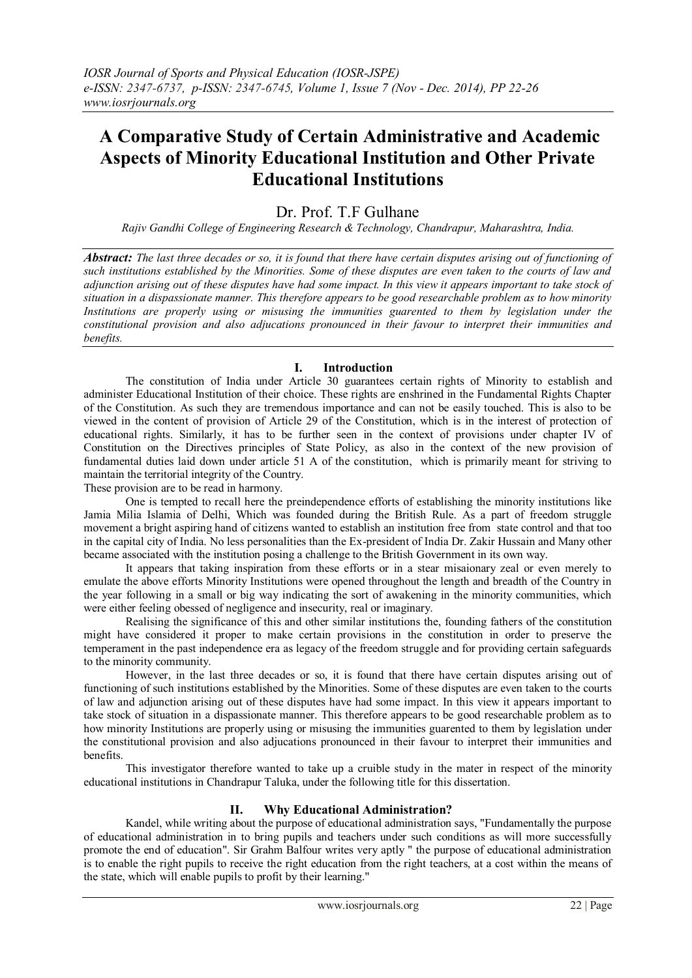# **A Comparative Study of Certain Administrative and Academic Aspects of Minority Educational Institution and Other Private Educational Institutions**

## Dr. Prof. T.F. Gulhane

*Rajiv Gandhi College of Engineering Research & Technology, Chandrapur, Maharashtra, India.*

*Abstract: The last three decades or so, it is found that there have certain disputes arising out of functioning of such institutions established by the Minorities. Some of these disputes are even taken to the courts of law and adjunction arising out of these disputes have had some impact. In this view it appears important to take stock of situation in a dispassionate manner. This therefore appears to be good researchable problem as to how minority Institutions are properly using or misusing the immunities guarented to them by legislation under the constitutional provision and also adjucations pronounced in their favour to interpret their immunities and benefits.*

### **I. Introduction**

The constitution of India under Article 30 guarantees certain rights of Minority to establish and administer Educational Institution of their choice. These rights are enshrined in the Fundamental Rights Chapter of the Constitution. As such they are tremendous importance and can not be easily touched. This is also to be viewed in the content of provision of Article 29 of the Constitution, which is in the interest of protection of educational rights. Similarly, it has to be further seen in the context of provisions under chapter IV of Constitution on the Directives principles of State Policy, as also in the context of the new provision of fundamental duties laid down under article 51 A of the constitution, which is primarily meant for striving to maintain the territorial integrity of the Country.

These provision are to be read in harmony.

One is tempted to recall here the preindependence efforts of establishing the minority institutions like Jamia Milia Islamia of Delhi, Which was founded during the British Rule. As a part of freedom struggle movement a bright aspiring hand of citizens wanted to establish an institution free from state control and that too in the capital city of India. No less personalities than the Ex-president of India Dr. Zakir Hussain and Many other became associated with the institution posing a challenge to the British Government in its own way.

It appears that taking inspiration from these efforts or in a stear misaionary zeal or even merely to emulate the above efforts Minority Institutions were opened throughout the length and breadth of the Country in the year following in a small or big way indicating the sort of awakening in the minority communities, which were either feeling obessed of negligence and insecurity, real or imaginary.

Realising the significance of this and other similar institutions the, founding fathers of the constitution might have considered it proper to make certain provisions in the constitution in order to preserve the temperament in the past independence era as legacy of the freedom struggle and for providing certain safeguards to the minority community.

However, in the last three decades or so, it is found that there have certain disputes arising out of functioning of such institutions established by the Minorities. Some of these disputes are even taken to the courts of law and adjunction arising out of these disputes have had some impact. In this view it appears important to take stock of situation in a dispassionate manner. This therefore appears to be good researchable problem as to how minority Institutions are properly using or misusing the immunities guarented to them by legislation under the constitutional provision and also adjucations pronounced in their favour to interpret their immunities and benefits.

This investigator therefore wanted to take up a cruible study in the mater in respect of the minority educational institutions in Chandrapur Taluka, under the following title for this dissertation.

#### **II. Why Educational Administration?**

Kandel, while writing about the purpose of educational administration says, "Fundamentally the purpose of educational administration in to bring pupils and teachers under such conditions as will more successfully promote the end of education". Sir Grahm Balfour writes very aptly " the purpose of educational administration is to enable the right pupils to receive the right education from the right teachers, at a cost within the means of the state, which will enable pupils to profit by their learning."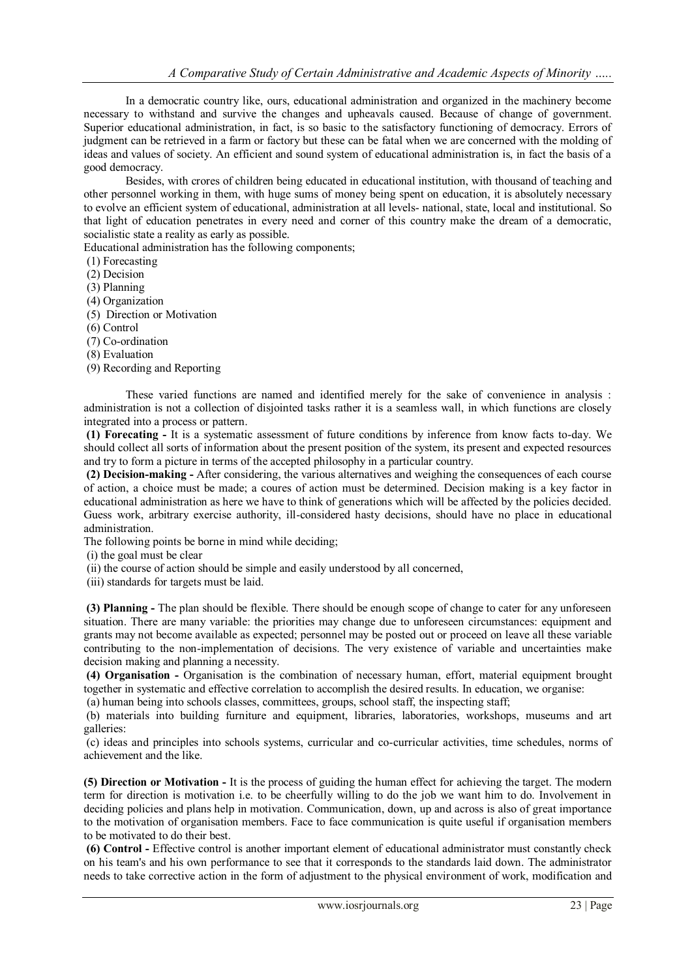In a democratic country like, ours, educational administration and organized in the machinery become necessary to withstand and survive the changes and upheavals caused. Because of change of government. Superior educational administration, in fact, is so basic to the satisfactory functioning of democracy. Errors of judgment can be retrieved in a farm or factory but these can be fatal when we are concerned with the molding of ideas and values of society. An efficient and sound system of educational administration is, in fact the basis of a good democracy.

Besides, with crores of children being educated in educational institution, with thousand of teaching and other personnel working in them, with huge sums of money being spent on education, it is absolutely necessary to evolve an efficient system of educational, administration at all levels- national, state, local and institutional. So that light of education penetrates in every need and corner of this country make the dream of a democratic, socialistic state a reality as early as possible.

Educational administration has the following components;

(1) Forecasting

(2) Decision

(3) Planning

(4) Organization

(5) Direction or Motivation

(6) Control

(7) Co-ordination

(8) Evaluation

(9) Recording and Reporting

These varied functions are named and identified merely for the sake of convenience in analysis : administration is not a collection of disjointed tasks rather it is a seamless wall, in which functions are closely integrated into a process or pattern.

**(1) Forecating -** It is a systematic assessment of future conditions by inference from know facts to-day. We should collect all sorts of information about the present position of the system, its present and expected resources and try to form a picture in terms of the accepted philosophy in a particular country.

**(2) Decision-making -** After considering, the various alternatives and weighing the consequences of each course of action, a choice must be made; a coures of action must be determined. Decision making is a key factor in educational administration as here we have to think of generations which will be affected by the policies decided. Guess work, arbitrary exercise authority, ill-considered hasty decisions, should have no place in educational administration.

The following points be borne in mind while deciding;

(i) the goal must be clear

(ii) the course of action should be simple and easily understood by all concerned,

(iii) standards for targets must be laid.

**(3) Planning -** The plan should be flexible. There should be enough scope of change to cater for any unforeseen situation. There are many variable: the priorities may change due to unforeseen circumstances: equipment and grants may not become available as expected; personnel may be posted out or proceed on leave all these variable contributing to the non-implementation of decisions. The very existence of variable and uncertainties make decision making and planning a necessity.

**(4) Organisation -** Organisation is the combination of necessary human, effort, material equipment brought together in systematic and effective correlation to accomplish the desired results. In education, we organise:

(a) human being into schools classes, committees, groups, school staff, the inspecting staff;

(b) materials into building furniture and equipment, libraries, laboratories, workshops, museums and art galleries:

(c) ideas and principles into schools systems, curricular and co-curricular activities, time schedules, norms of achievement and the like.

**(5) Direction or Motivation -** It is the process of guiding the human effect for achieving the target. The modern term for direction is motivation i.e. to be cheerfully willing to do the job we want him to do. Involvement in deciding policies and plans help in motivation. Communication, down, up and across is also of great importance to the motivation of organisation members. Face to face communication is quite useful if organisation members to be motivated to do their best.

**(6) Control -** Effective control is another important element of educational administrator must constantly check on his team's and his own performance to see that it corresponds to the standards laid down. The administrator needs to take corrective action in the form of adjustment to the physical environment of work, modification and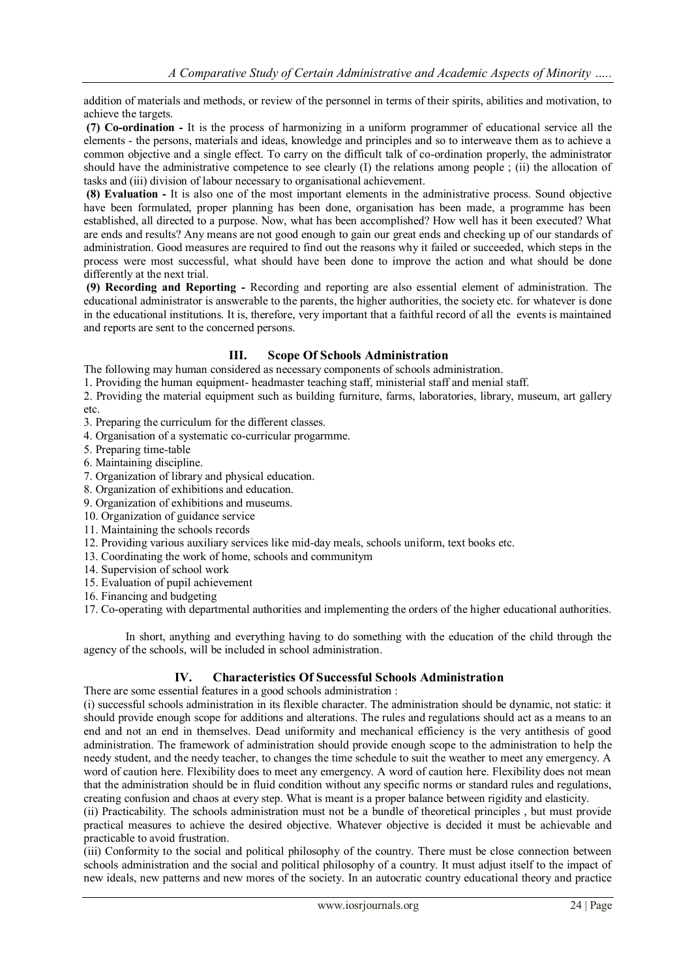addition of materials and methods, or review of the personnel in terms of their spirits, abilities and motivation, to achieve the targets.

**(7) Co-ordination -** It is the process of harmonizing in a uniform programmer of educational service all the elements - the persons, materials and ideas, knowledge and principles and so to interweave them as to achieve a common objective and a single effect. To carry on the difficult talk of co-ordination properly, the administrator should have the administrative competence to see clearly (I) the relations among people ; (ii) the allocation of tasks and (iii) division of labour necessary to organisational achievement.

**(8) Evaluation -** It is also one of the most important elements in the administrative process. Sound objective have been formulated, proper planning has been done, organisation has been made, a programme has been established, all directed to a purpose. Now, what has been accomplished? How well has it been executed? What are ends and results? Any means are not good enough to gain our great ends and checking up of our standards of administration. Good measures are required to find out the reasons why it failed or succeeded, which steps in the process were most successful, what should have been done to improve the action and what should be done differently at the next trial.

**(9) Recording and Reporting -** Recording and reporting are also essential element of administration. The educational administrator is answerable to the parents, the higher authorities, the society etc. for whatever is done in the educational institutions. It is, therefore, very important that a faithful record of all the events is maintained and reports are sent to the concerned persons.

#### **III. Scope Of Schools Administration**

The following may human considered as necessary components of schools administration.

1. Providing the human equipment- headmaster teaching staff, ministerial staff and menial staff.

2. Providing the material equipment such as building furniture, farms, laboratories, library, museum, art gallery

etc.

- 3. Preparing the curriculum for the different classes.
- 4. Organisation of a systematic co-curricular progarmme.
- 5. Preparing time-table
- 6. Maintaining discipline.
- 7. Organization of library and physical education.
- 8. Organization of exhibitions and education.
- 9. Organization of exhibitions and museums.
- 10. Organization of guidance service
- 11. Maintaining the schools records
- 12. Providing various auxiliary services like mid-day meals, schools uniform, text books etc.
- 13. Coordinating the work of home, schools and communitym
- 14. Supervision of school work
- 15. Evaluation of pupil achievement
- 16. Financing and budgeting

17. Co-operating with departmental authorities and implementing the orders of the higher educational authorities.

In short, anything and everything having to do something with the education of the child through the agency of the schools, will be included in school administration.

#### **IV. Characteristics Of Successful Schools Administration**

There are some essential features in a good schools administration :

(i) successful schools administration in its flexible character. The administration should be dynamic, not static: it should provide enough scope for additions and alterations. The rules and regulations should act as a means to an end and not an end in themselves. Dead uniformity and mechanical efficiency is the very antithesis of good administration. The framework of administration should provide enough scope to the administration to help the needy student, and the needy teacher, to changes the time schedule to suit the weather to meet any emergency. A word of caution here. Flexibility does to meet any emergency. A word of caution here. Flexibility does not mean that the administration should be in fluid condition without any specific norms or standard rules and regulations, creating confusion and chaos at every step. What is meant is a proper balance between rigidity and elasticity.

(ii) Practicability. The schools administration must not be a bundle of theoretical principles , but must provide practical measures to achieve the desired objective. Whatever objective is decided it must be achievable and practicable to avoid frustration.

(iii) Conformity to the social and political philosophy of the country. There must be close connection between schools administration and the social and political philosophy of a country. It must adjust itself to the impact of new ideals, new patterns and new mores of the society. In an autocratic country educational theory and practice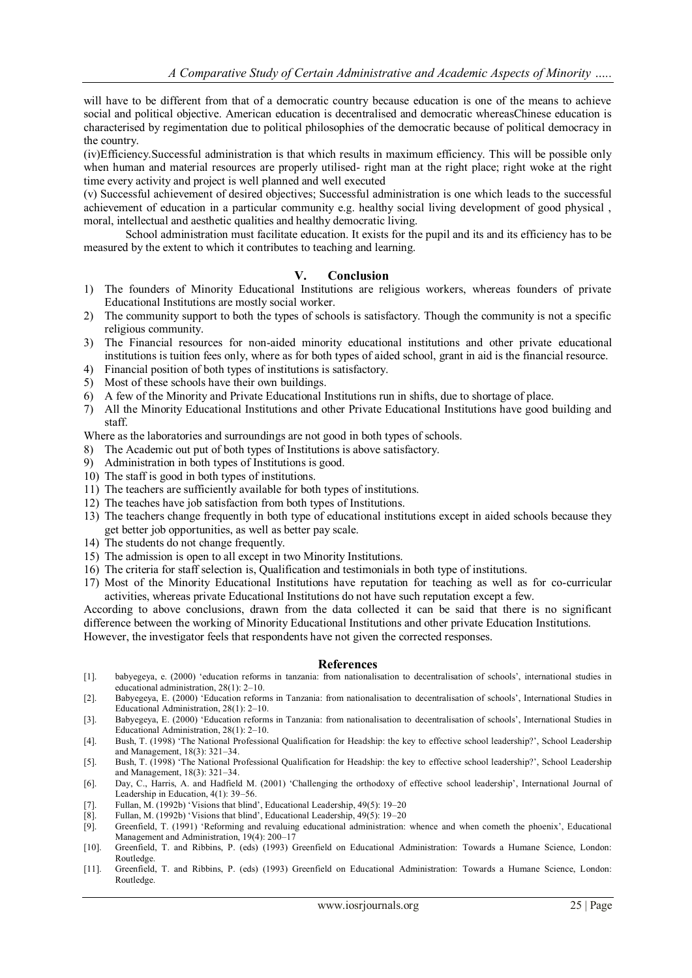will have to be different from that of a democratic country because education is one of the means to achieve social and political objective. American education is decentralised and democratic whereasChinese education is characterised by regimentation due to political philosophies of the democratic because of political democracy in the country.

(iv)Efficiency.Successful administration is that which results in maximum efficiency. This will be possible only when human and material resources are properly utilised- right man at the right place; right woke at the right time every activity and project is well planned and well executed

(v) Successful achievement of desired objectives; Successful administration is one which leads to the successful achievement of education in a particular community e.g. healthy social living development of good physical , moral, intellectual and aesthetic qualities and healthy democratic living.

School administration must facilitate education. It exists for the pupil and its and its efficiency has to be measured by the extent to which it contributes to teaching and learning.

#### **V. Conclusion**

- 1) The founders of Minority Educational Institutions are religious workers, whereas founders of private Educational Institutions are mostly social worker.
- 2) The community support to both the types of schools is satisfactory. Though the community is not a specific religious community.
- 3) The Financial resources for non-aided minority educational institutions and other private educational institutions is tuition fees only, where as for both types of aided school, grant in aid is the financial resource.
- 4) Financial position of both types of institutions is satisfactory.
- 5) Most of these schools have their own buildings.
- 6) A few of the Minority and Private Educational Institutions run in shifts, due to shortage of place.
- 7) All the Minority Educational Institutions and other Private Educational Institutions have good building and staff.

Where as the laboratories and surroundings are not good in both types of schools.

- 8) The Academic out put of both types of Institutions is above satisfactory.
- 9) Administration in both types of Institutions is good.
- 10) The staff is good in both types of institutions.
- 11) The teachers are sufficiently available for both types of institutions.
- 12) The teaches have job satisfaction from both types of Institutions.
- 13) The teachers change frequently in both type of educational institutions except in aided schools because they get better job opportunities, as well as better pay scale.
- 14) The students do not change frequently.
- 15) The admission is open to all except in two Minority Institutions.
- 16) The criteria for staff selection is, Qualification and testimonials in both type of institutions.
- 17) Most of the Minority Educational Institutions have reputation for teaching as well as for co-curricular activities, whereas private Educational Institutions do not have such reputation except a few.

According to above conclusions, drawn from the data collected it can be said that there is no significant difference between the working of Minority Educational Institutions and other private Education Institutions. However, the investigator feels that respondents have not given the corrected responses.

#### **References**

- [1]. babyegeya, e. (2000) 'education reforms in tanzania: from nationalisation to decentralisation of schools', international studies in educational administration, 28(1): 2–10.
- [2]. Babyegeya, E. (2000) 'Education reforms in Tanzania: from nationalisation to decentralisation of schools', International Studies in Educational Administration, 28(1): 2–10.
- [3]. Babyegeya, E. (2000) 'Education reforms in Tanzania: from nationalisation to decentralisation of schools', International Studies in Educational Administration, 28(1): 2–10.
- [4]. Bush, T. (1998) 'The National Professional Qualification for Headship: the key to effective school leadership?', School Leadership and Management, 18(3): 321–34.
- [5]. Bush, T. (1998) 'The National Professional Qualification for Headship: the key to effective school leadership?', School Leadership and Management, 18(3): 321–34.
- [6]. Day, C., Harris, A. and Hadfield M. (2001) 'Challenging the orthodoxy of effective school leadership', International Journal of Leadership in Education, 4(1): 39–56.
- [7]. Fullan, M. (1992b) 'Visions that blind', Educational Leadership, 49(5): 19–20
- [8]. Fullan, M. (1992b) 'Visions that blind', Educational Leadership, 49(5): 19–20
- [9]. Greenfield, T. (1991) 'Reforming and revaluing educational administration: whence and when cometh the phoenix', Educational Management and Administration, 19(4): 200–17
- [10]. Greenfield, T. and Ribbins, P. (eds) (1993) Greenfield on Educational Administration: Towards a Humane Science, London: Routledge.
- [11]. Greenfield, T. and Ribbins, P. (eds) (1993) Greenfield on Educational Administration: Towards a Humane Science, London: Routledge.